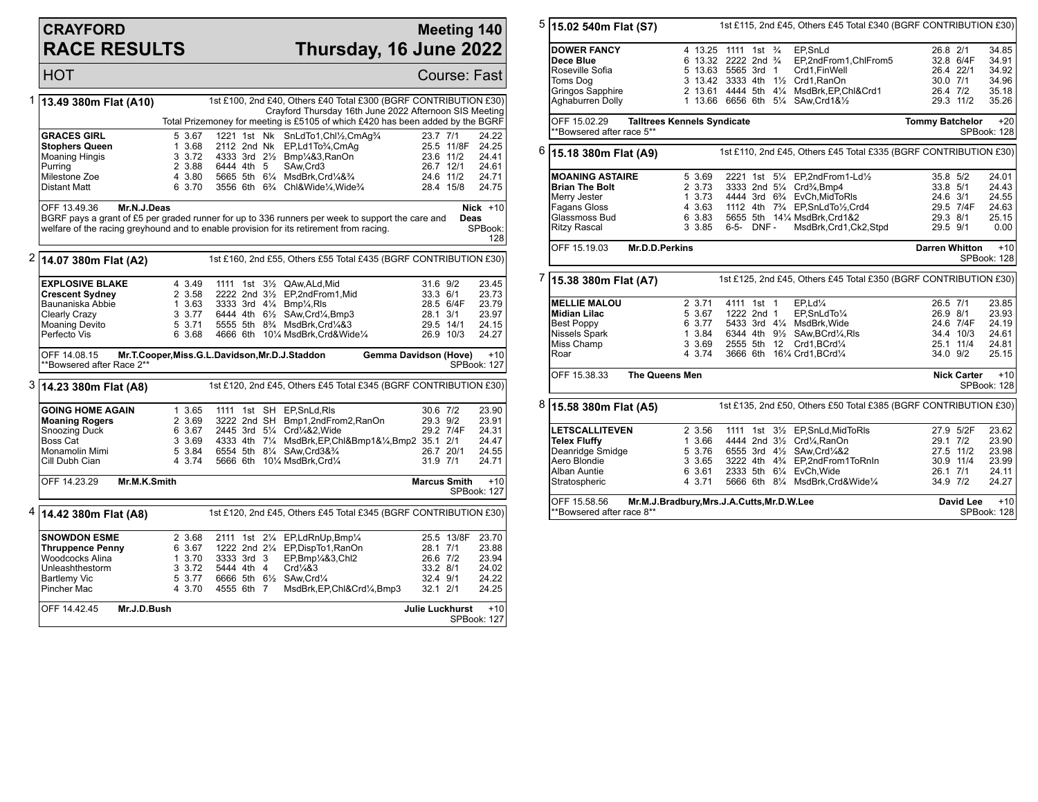## **CRAYFORD RACE RESULTS**

## **Meeting 140 Thursday, 16 June 2022**

HOT Course: Fast

|                                                                                            | 1 13.49 380m Flat (A10)                                                                                                         |        |               |                                                                                   | 1st £100, 2nd £40, Others £40 Total £300 (BGRF CONTRIBUTION £30)<br>Crayford Thursday 16th June 2022 Afternoon SIS Meeting |                      |
|--------------------------------------------------------------------------------------------|---------------------------------------------------------------------------------------------------------------------------------|--------|---------------|-----------------------------------------------------------------------------------|----------------------------------------------------------------------------------------------------------------------------|----------------------|
|                                                                                            |                                                                                                                                 |        |               |                                                                                   | Total Prizemoney for meeting is £5105 of which £420 has been added by the BGRF                                             |                      |
|                                                                                            | <b>GRACES GIRL</b>                                                                                                              | 5 3.67 | 1221 1st Nk   | SnLdTo1,Chl1/2,CmAq3/4                                                            | 23.7 7/1                                                                                                                   | 24.22                |
|                                                                                            | Stophers Queen                                                                                                                  | 1 3.68 | 2112 2nd Nk   | EP,Ld1To3/4,CmAq                                                                  |                                                                                                                            | 24.25<br>25.5 11/8F  |
|                                                                                            | <b>Moaning Hingis</b>                                                                                                           | 3 3.72 |               | 4333 3rd 21/ <sub>2</sub> Bmp1/4&3, RanOn                                         |                                                                                                                            | 23.6 11/2<br>24.41   |
|                                                                                            |                                                                                                                                 |        | 6444 4th 5    | SAw.Crd3                                                                          |                                                                                                                            | 24.61<br>26.7 12/1   |
|                                                                                            | Purrina                                                                                                                         | 2 3.88 |               |                                                                                   |                                                                                                                            |                      |
|                                                                                            | Milestone Zoe                                                                                                                   | 4 3.80 |               | 5665 5th 61/4 MsdBrk.Crd1/4&3/4                                                   |                                                                                                                            | 24.6 11/2<br>24.71   |
|                                                                                            | Distant Matt                                                                                                                    | 6 3.70 |               | 3556 6th 6% Chl&Wide%, Wide%                                                      |                                                                                                                            | 28.4 15/8<br>24.75   |
|                                                                                            | Mr.N.J.Deas<br>OFF 13.49.36<br>BGRF pays a grant of £5 per graded runner for up to 336 runners per week to support the care and |        |               |                                                                                   |                                                                                                                            | Nick $+10$           |
|                                                                                            | welfare of the racing greyhound and to enable provision for its retirement from racing.                                         |        |               |                                                                                   |                                                                                                                            | Deas<br>SPBook:      |
|                                                                                            |                                                                                                                                 |        |               |                                                                                   |                                                                                                                            | 128                  |
| 2                                                                                          | 14.07 380m Flat (A2)                                                                                                            |        |               |                                                                                   | 1st £160, 2nd £55, Others £55 Total £435 (BGRF CONTRIBUTION £30)                                                           |                      |
|                                                                                            | <b>EXPLOSIVE BLAKE</b>                                                                                                          | 4 3.49 |               | 1111 1st 31/2 QAw, ALd, Mid                                                       | 31.6 9/2                                                                                                                   | 23.45                |
|                                                                                            | <b>Crescent Sydney</b>                                                                                                          | 2 3.58 |               | 2222 2nd 31/2 EP,2ndFrom1,Mid                                                     | 33.3 6/1                                                                                                                   | 23.73                |
|                                                                                            | Baunaniska Abbie                                                                                                                | 1 3.63 |               | 3333 3rd 41/4 Bmp1/4, RIs                                                         |                                                                                                                            | 28.5 6/4F<br>23.79   |
|                                                                                            | Clearly Crazy                                                                                                                   | 3 3.77 |               | 6444 4th 61/2 SAw, Crd1/4, Bmp3                                                   | 28.1 3/1                                                                                                                   | 23.97                |
|                                                                                            | <b>Moaning Devito</b>                                                                                                           | 5 3.71 |               | 5555 5th 8 <sup>3</sup> / <sub>4</sub> MsdBrk, Crd <sup>1</sup> / <sub>4</sub> &3 |                                                                                                                            | 29.5 14/1<br>24.15   |
|                                                                                            | Perfecto Vis                                                                                                                    | 6 3.68 |               | 4666 6th 101/4 MsdBrk, Crd&Wide1/4                                                |                                                                                                                            | 26.9 10/3<br>24.27   |
|                                                                                            | OFF 14.08.15<br>**Bowsered after Race 2**                                                                                       |        |               | Mr.T.Cooper, Miss.G.L.Davidson, Mr.D.J.Staddon                                    | <b>Gemma Davidson (Hove)</b>                                                                                               | $+10$<br>SPBook: 127 |
|                                                                                            |                                                                                                                                 |        |               |                                                                                   |                                                                                                                            |                      |
| 3 14.23 380m Flat (A8)<br>1st £120, 2nd £45, Others £45 Total £345 (BGRF CONTRIBUTION £30) |                                                                                                                                 |        |               |                                                                                   |                                                                                                                            |                      |
|                                                                                            | <b>GOING HOME AGAIN</b>                                                                                                         | 1 3.65 |               | 1111 1st SH EP.SnLd.RIs                                                           | 30.6 7/2                                                                                                                   | 23.90                |
|                                                                                            | <b>Moaning Rogers</b>                                                                                                           | 2 3.69 |               | 3222 2nd SH Bmp1,2ndFrom2,RanOn                                                   | 29.3 9/2                                                                                                                   | 23.91                |
|                                                                                            | Snoozing Duck                                                                                                                   | 6 3.67 |               | 2445 3rd 51/4 Crd1/4&2. Wide                                                      | 29.2 7/4F                                                                                                                  | 24.31                |
|                                                                                            |                                                                                                                                 |        |               |                                                                                   |                                                                                                                            |                      |
|                                                                                            |                                                                                                                                 |        |               |                                                                                   |                                                                                                                            |                      |
|                                                                                            | Boss Cat                                                                                                                        | 3 3.69 |               |                                                                                   | 4333 4th 71/4 MsdBrk, EP, Chl&Bmp1&1/4, Bmp2 35.1 2/1                                                                      | 24.47                |
|                                                                                            | Monamolin Mimi                                                                                                                  | 5 3.84 |               | 6554 5th 81/4 SAw, Crd3&3/4                                                       |                                                                                                                            | 26.7 20/1<br>24.55   |
|                                                                                            | Cill Dubh Cian                                                                                                                  | 4 3.74 |               | 5666 6th 101/4 MsdBrk.Crd1/4                                                      | 31.9 7/1                                                                                                                   | 24.71                |
|                                                                                            | OFF 14.23.29<br>Mr.M.K.Smith                                                                                                    |        |               |                                                                                   | <b>Marcus Smith</b>                                                                                                        | $+10$<br>SPBook: 127 |
|                                                                                            |                                                                                                                                 |        |               |                                                                                   |                                                                                                                            |                      |
| 4                                                                                          | 14.42 380m Flat (A8)                                                                                                            |        |               |                                                                                   | 1st £120, 2nd £45, Others £45 Total £345 (BGRF CONTRIBUTION £30)                                                           |                      |
|                                                                                            | <b>SNOWDON ESME</b>                                                                                                             | 2 3.68 | 2111 1st 21/4 | EP,LdRnUp,Bmp1/4                                                                  |                                                                                                                            | 25.5 13/8F<br>23.70  |
|                                                                                            | <b>Thruppence Penny</b>                                                                                                         | 6 3.67 | 1222 2nd 21/4 | EP,DispTo1,RanOn                                                                  | 28.1 7/1                                                                                                                   | 23.88                |
|                                                                                            | Woodcocks Alina                                                                                                                 | 1 3.70 | 3333 3rd 3    | EP,Bmp1/4&3,Chl2                                                                  | 26.6 7/2                                                                                                                   | 23.94                |
|                                                                                            | Unleashthestorm                                                                                                                 | 3 3.72 | 5444 4th 4    | Crd1/4&3                                                                          | 33.2 8/1                                                                                                                   | 24.02                |
|                                                                                            |                                                                                                                                 | 5 3.77 |               | 6666 5th 61/2 SAw, Crd1/4                                                         | 32.4 9/1                                                                                                                   | 24.22                |
|                                                                                            | <b>Bartlemy Vic</b><br>Pincher Mac                                                                                              | 4 3.70 | 4555 6th 7    | MsdBrk, EP, Chl&Crd1/4, Bmp3                                                      | 32.1 2/1                                                                                                                   | 24.25                |
|                                                                                            | OFF 14.42.45<br>Mr.J.D.Bush                                                                                                     |        |               |                                                                                   | <b>Julie Luckhurst</b>                                                                                                     | $+10$                |

| 5 | 15.02 540m Flat (S7)                      |                                    |                                                        | 1st £115, 2nd £45, Others £45 Total £340 (BGRF CONTRIBUTION £30)                     |                        |                        |                      |
|---|-------------------------------------------|------------------------------------|--------------------------------------------------------|--------------------------------------------------------------------------------------|------------------------|------------------------|----------------------|
|   | <b>DOWER FANCY</b><br>Dece Blue           |                                    | 4 13.25 1111 1st 3/4<br>6 13.32 2222 2nd $\frac{3}{4}$ | EP,SnLd<br>EP,2ndFrom1,ChlFrom5                                                      | 26.8 2/1               | 32.8 6/4F              | 34.85<br>34.91       |
|   | Roseville Sofia                           |                                    | 5 13.63 5565 3rd 1                                     | Crd1,FinWell                                                                         |                        | 26.4 22/1              | 34.92                |
|   | Toms Dog                                  |                                    | 3 13.42 3333 4th 11/2 Crd1, RanOn                      |                                                                                      | 30.0 7/1               |                        | 34.96                |
|   | Gringos Sapphire                          |                                    |                                                        | 2 13.61 4444 5th 41/4 MsdBrk, EP, Chl&Crd1                                           | 26.4 7/2               |                        | 35.18                |
|   | Aghaburren Dolly                          |                                    | 1 13.66 6656 6th 51/4 SAw.Crd1&1/2                     |                                                                                      |                        | 29.3 11/2              | 35.26                |
|   | OFF 15.02.29<br>**Bowsered after race 5** | <b>Talltrees Kennels Syndicate</b> |                                                        |                                                                                      | <b>Tommy Batchelor</b> |                        | $+20$<br>SPBook: 128 |
| 6 | 15.18 380m Flat (A9)                      |                                    |                                                        | 1st £110, 2nd £45, Others £45 Total £335 (BGRF CONTRIBUTION £30)                     |                        |                        |                      |
|   | <b>MOANING ASTAIRE</b>                    | 5 3.69                             |                                                        | 2221 1st 51/4 EP.2ndFrom1-Ld1/2                                                      | 35.8 5/2               |                        | 24.01                |
|   | <b>Brian The Bolt</b>                     | 2 3.73                             | 3333 2nd 51/4 Crd <sup>3</sup> / <sub>4</sub> , Bmp4   |                                                                                      | 33.8 5/1               |                        | 24.43                |
|   | Merry Jester                              | 1 3.73                             |                                                        | 4444 3rd 6 <sup>3</sup> / <sub>4</sub> EvCh, MidToRIs                                | 24.6 3/1               |                        | 24.55                |
|   | <b>Fagans Gloss</b>                       | 4 3.63                             |                                                        | 1112 4th 7 <sup>3</sup> / <sub>4</sub> EP, SnLdTo <sup>1</sup> / <sub>2</sub> , Crd4 |                        | 29.5 7/4F              | 24.63                |
|   | Glassmoss Bud                             | 6 3.83                             |                                                        | 5655 5th 141/4 MsdBrk, Crd1&2                                                        | 29.3 8/1               |                        | 25.15                |
|   | <b>Ritzy Rascal</b>                       | 3 3.85                             | 6-5- DNF -                                             | MsdBrk,Crd1,Ck2,Stpd                                                                 | 29.5 9/1               |                        | 0.00                 |
|   | OFF 15.19.03<br>Mr.D.D.Perkins            |                                    |                                                        |                                                                                      | <b>Darren Whitton</b>  |                        | $+10$<br>SPBook: 128 |
| 7 | 15.38 380m Flat (A7)                      |                                    |                                                        | 1st £125, 2nd £45, Others £45 Total £350 (BGRF CONTRIBUTION £30)                     |                        |                        |                      |
|   | <b>MELLIE MALOU</b>                       | 2 3.71                             | 4111 1st 1                                             | EP.Ld <sub>4</sub>                                                                   | 26.5 7/1               |                        | 23.85                |
|   | Midian Lilac                              | 5 3.67                             | 1222 2nd 1                                             | EP,SnLdTo1/4                                                                         | 26.9 8/1               |                        | 23.93                |
|   | <b>Best Poppy</b>                         | 6 3.77                             | 5433 3rd 41/4 MsdBrk, Wide                             |                                                                                      |                        | 24.6 7/4F              | 24.19                |
|   | Nissels Spark                             | 1 3.84<br>3 3.69                   | 2555 5th 12                                            | 6344 4th 91/2 SAw, BCrd1/4, RIs<br>Crd1,BCrd1/4                                      |                        | 34.4 10/3<br>25.1 11/4 | 24.61<br>24.81       |
|   | Miss Champ<br>Roar                        | 4 3.74                             | 3666 6th 161/4 Crd1, BCrd1/4                           |                                                                                      | 34.0 9/2               |                        | 25.15                |
|   |                                           |                                    |                                                        |                                                                                      |                        |                        |                      |
|   | OFF 15.38.33<br>The Queens Men            |                                    |                                                        |                                                                                      |                        | <b>Nick Carter</b>     | $+10$<br>SPBook: 128 |
| 8 | 15.58 380m Flat (A5)                      |                                    |                                                        | 1st £135, 2nd £50, Others £50 Total £385 (BGRF CONTRIBUTION £30)                     |                        |                        |                      |
|   | <b>LETSCALLITEVEN</b>                     | 2 3.56                             |                                                        | 1111 1st 31/2 EP, SnLd, MidToRIs                                                     |                        | 27.9 5/2F              | 23.62                |
|   | <b>Telex Fluffy</b>                       | 1 3.66                             | 4444 2nd 31/2 Crd1/4.RanOn                             |                                                                                      | 29.1 7/2               |                        | 23.90                |
|   | Deanridge Smidge                          | 5 3.76                             | 6555 3rd 41/2 SAw, Crd1/4&2                            |                                                                                      |                        | 27.5 11/2              | 23.98                |
|   | Aero Blondie                              | 3 3.65                             |                                                        | 3222 4th 4 <sup>3</sup> / <sub>4</sub> EP,2ndFrom1ToRnIn                             |                        | 30.9 11/4              | 23.99                |
|   | Alban Auntie                              | 6 3.61                             | 2333 5th 61/4 EvCh. Wide                               |                                                                                      | 26.1 7/1               |                        | 24.11                |
|   | Stratospheric                             | 4 3.71                             |                                                        | 5666 6th 81/4 MsdBrk, Crd&Wide1/4                                                    | 34.9 7/2               |                        | 24.27                |
|   | OFF 15.58.56<br>**Bowsered after race 8** |                                    | Mr.M.J.Bradbury, Mrs.J.A.Cutts, Mr.D.W.Lee             |                                                                                      |                        | David Lee              | $+10$<br>SPBook: 128 |